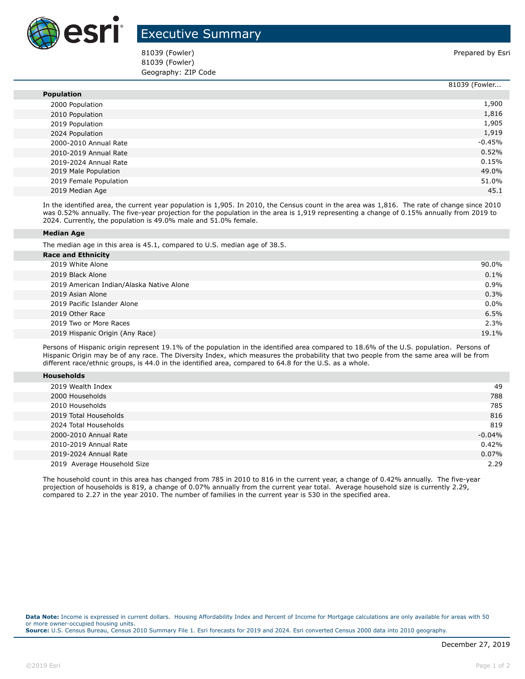

## Executive Summary

81039 (Fowler) 81039 (Fowler) **Prepared by Esri** 81039 (Fowler) Geography: ZIP Code

|                        | 81039 (Fowler |
|------------------------|---------------|
| <b>Population</b>      |               |
| 2000 Population        | 1,900         |
| 2010 Population        | 1,816         |
| 2019 Population        | 1,905         |
| 2024 Population        | 1,919         |
| 2000-2010 Annual Rate  | $-0.45%$      |
| 2010-2019 Annual Rate  | 0.52%         |
| 2019-2024 Annual Rate  | 0.15%         |
| 2019 Male Population   | 49.0%         |
| 2019 Female Population | 51.0%         |
| 2019 Median Age        | 45.1          |

In the identified area, the current year population is 1,905. In 2010, the Census count in the area was 1,816. The rate of change since 2010 was 0.52% annually. The five-year projection for the population in the area is 1,919 representing a change of 0.15% annually from 2019 to 2024. Currently, the population is 49.0% male and 51.0% female.

## **Median Age**

The median age in this area is 45.1, compared to U.S. median age of 38.5.

| <b>Race and Ethnicity</b>                |         |
|------------------------------------------|---------|
| 2019 White Alone                         | 90.0%   |
| 2019 Black Alone                         | 0.1%    |
| 2019 American Indian/Alaska Native Alone | 0.9%    |
| 2019 Asian Alone                         | 0.3%    |
| 2019 Pacific Islander Alone              | $0.0\%$ |
| 2019 Other Race                          | 6.5%    |
| 2019 Two or More Races                   | 2.3%    |
| 2019 Hispanic Origin (Any Race)          | 19.1%   |
|                                          |         |

Persons of Hispanic origin represent 19.1% of the population in the identified area compared to 18.6% of the U.S. population. Persons of Hispanic Origin may be of any race. The Diversity Index, which measures the probability that two people from the same area will be from different race/ethnic groups, is 44.0 in the identified area, compared to 64.8 for the U.S. as a whole.

| <b>Households</b> |
|-------------------|
|-------------------|

| 2019 Wealth Index           | 49       |
|-----------------------------|----------|
| 2000 Households             | 788      |
| 2010 Households             | 785      |
| 2019 Total Households       | 816      |
| 2024 Total Households       | 819      |
| 2000-2010 Annual Rate       | $-0.04%$ |
| 2010-2019 Annual Rate       | 0.42%    |
| 2019-2024 Annual Rate       | 0.07%    |
| 2019 Average Household Size | 2.29     |

The household count in this area has changed from 785 in 2010 to 816 in the current year, a change of 0.42% annually. The five-year projection of households is 819, a change of 0.07% annually from the current year total. Average household size is currently 2.29, compared to 2.27 in the year 2010. The number of families in the current year is 530 in the specified area.

**Data Note:** Income is expressed in current dollars. Housing Affordability Index and Percent of Income for Mortgage calculations are only available for areas with 50 or more owner-occupied housing units. **Source:** U.S. Census Bureau, Census 2010 Summary File 1. Esri forecasts for 2019 and 2024. Esri converted Census 2000 data into 2010 geography.